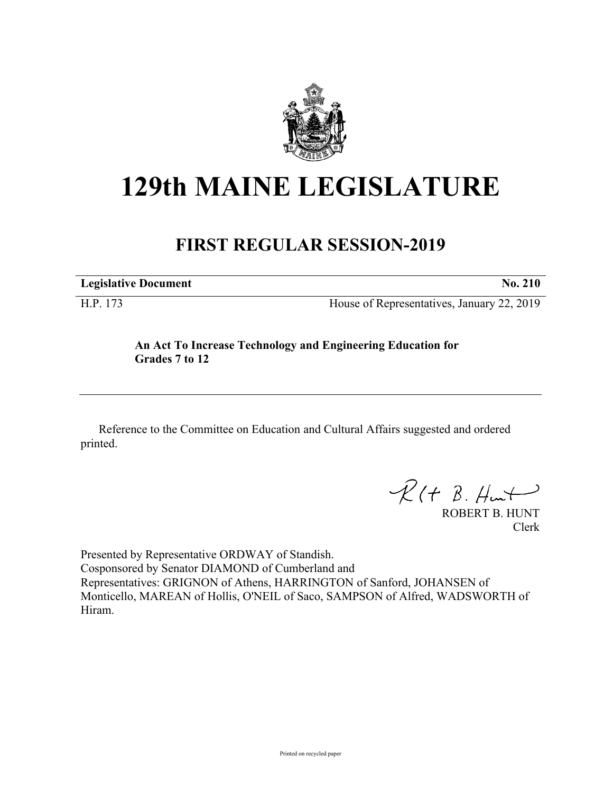

## **129th MAINE LEGISLATURE**

## **FIRST REGULAR SESSION-2019**

**Legislative Document No. 210**

H.P. 173 House of Representatives, January 22, 2019

**An Act To Increase Technology and Engineering Education for Grades 7 to 12**

Reference to the Committee on Education and Cultural Affairs suggested and ordered printed.

 $R(H B. H<sub>un</sub>+)$ 

ROBERT B. HUNT Clerk

Presented by Representative ORDWAY of Standish. Cosponsored by Senator DIAMOND of Cumberland and Representatives: GRIGNON of Athens, HARRINGTON of Sanford, JOHANSEN of Monticello, MAREAN of Hollis, O'NEIL of Saco, SAMPSON of Alfred, WADSWORTH of Hiram.